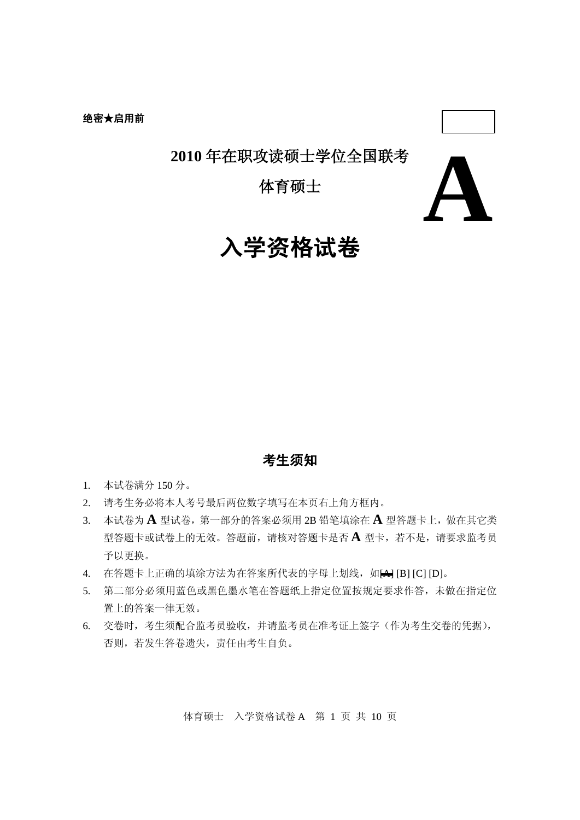### **2010** 年在职攻读硕士学位全国联考

体育硕士



# 入学资格试卷

### 考生须知

- 1. 本试卷满分 150 分。
- 2. 请考生务必将本人考号最后两位数字填写在本页右上角方框内。
- 3. 本试卷为 **A** 型试卷,第一部分的答案必须用 2B 铅笔填涂在 **A** 型答题卡上,做在其它类 型答题卡或试卷上的无效。答题前,请核对答题卡是否 **A** 型卡,若不是,请要求监考员 予以更换。
- 4. 在答题卡上正确的填涂方法为在答案所代表的字母上划线, 如A [B] [C] [D]。
- 5. 第二部分必须用蓝色或黑色墨水笔在答题纸上指定位置按规定要求作答,未做在指定位 置上的答案一律无效。
- 6. 交卷时,考生须配合监考员验收,并请监考员在准考证上签字(作为考生交卷的凭据), 否则,若发生答卷遗失,责任由考生自负。

体育硕士 入学资格试卷 A 第 1 页 共 10 页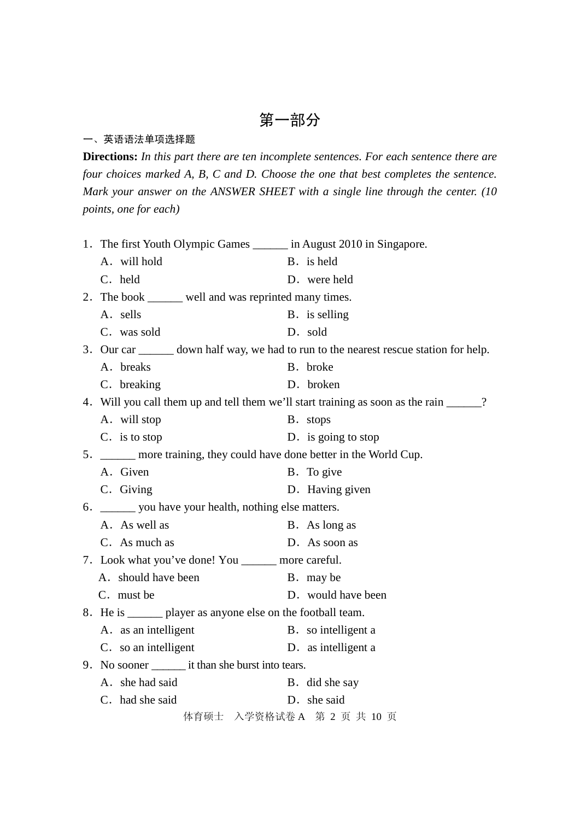#### 一、英语语法单项选择题

**Directions:** *In this part there are ten incomplete sentences. For each sentence there are four choices marked A, B, C and D. Choose the one that best completes the sentence. Mark your answer on the ANSWER SHEET with a single line through the center. (10 points, one for each)*

| 1. The first Youth Olympic Games _______ in August 2010 in Singapore.                  |                                                                                         |
|----------------------------------------------------------------------------------------|-----------------------------------------------------------------------------------------|
| A. will hold                                                                           | B. is held                                                                              |
| C. held                                                                                | D. were held                                                                            |
| 2. The book ______ well and was reprinted many times.                                  |                                                                                         |
| A. sells                                                                               | B. is selling                                                                           |
| C. was sold                                                                            | D. sold                                                                                 |
|                                                                                        | 3. Our car _______ down half way, we had to run to the nearest rescue station for help. |
| A. breaks                                                                              | B. broke                                                                                |
| C. breaking                                                                            | D. broken                                                                               |
| 4. Will you call them up and tell them we'll start training as soon as the rain _____? |                                                                                         |
| A. will stop                                                                           | B. stops                                                                                |
| C. is to stop                                                                          | D. is going to stop                                                                     |
| 5. ______ more training, they could have done better in the World Cup.                 |                                                                                         |
| A. Given                                                                               | B. To give                                                                              |
| C. Giving                                                                              | D. Having given                                                                         |
| 6. ________ you have your health, nothing else matters.                                |                                                                                         |
| A. As well as                                                                          | B. As long as                                                                           |
| C. As much as                                                                          | D. As soon as                                                                           |
| 7. Look what you've done! You _______ more careful.                                    |                                                                                         |
| A. should have been                                                                    | B. may be                                                                               |
| C. must be                                                                             | D. would have been                                                                      |
| 8. He is _______ player as anyone else on the football team.                           |                                                                                         |
| A. as an intelligent                                                                   | B. so intelligent a                                                                     |
| C. so an intelligent                                                                   | D. as intelligent a                                                                     |
|                                                                                        |                                                                                         |
| A. she had said                                                                        | B. did she say                                                                          |
| C. had she said                                                                        | D. she said                                                                             |
| 体育硕士 入学资格试卷 A 第 2 页 共 10 页                                                             |                                                                                         |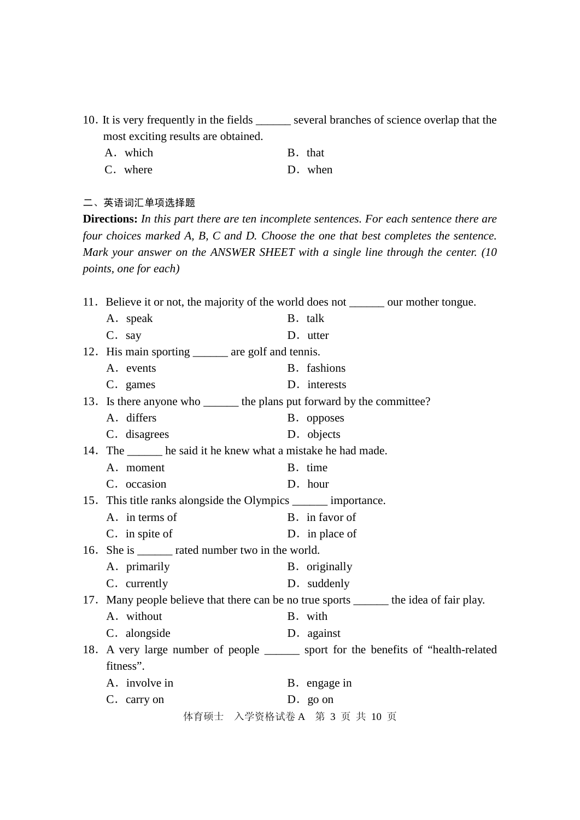- 10.It is very frequently in the fields \_\_\_\_\_\_ several branches of science overlap that the most exciting results are obtained.
	- A. which B. that
	- C. where D. when

### 二、英语词汇单项选择题

**Directions:** *In this part there are ten incomplete sentences. For each sentence there are four choices marked A, B, C and D. Choose the one that best completes the sentence. Mark your answer on the ANSWER SHEET with a single line through the center. (10 points, one for each)*

| 11. Believe it or not, the majority of the world does not _______ our mother tongue.    |                                                                         |                                                                                      |  |  |  |
|-----------------------------------------------------------------------------------------|-------------------------------------------------------------------------|--------------------------------------------------------------------------------------|--|--|--|
| A. speak                                                                                |                                                                         | B. talk                                                                              |  |  |  |
| C. say                                                                                  |                                                                         | D. utter                                                                             |  |  |  |
| 12. His main sporting _______ are golf and tennis.                                      |                                                                         |                                                                                      |  |  |  |
| A. events                                                                               |                                                                         | B. fashions                                                                          |  |  |  |
| C. games                                                                                |                                                                         | D. interests                                                                         |  |  |  |
|                                                                                         | 13. Is there anyone who _______ the plans put forward by the committee? |                                                                                      |  |  |  |
| A. differs                                                                              |                                                                         | B. opposes                                                                           |  |  |  |
| C. disagrees                                                                            |                                                                         | D. objects                                                                           |  |  |  |
| 14. The _______ he said it he knew what a mistake he had made.                          |                                                                         |                                                                                      |  |  |  |
| A. moment                                                                               |                                                                         | B. time                                                                              |  |  |  |
| C. occasion                                                                             |                                                                         | D. hour                                                                              |  |  |  |
| 15. This title ranks alongside the Olympics _______ importance.                         |                                                                         |                                                                                      |  |  |  |
| A. in terms of                                                                          |                                                                         | B. in favor of                                                                       |  |  |  |
| C. in spite of                                                                          |                                                                         | D. in place of                                                                       |  |  |  |
| 16. She is _______ rated number two in the world.                                       |                                                                         |                                                                                      |  |  |  |
| A. primarily                                                                            |                                                                         | B. originally                                                                        |  |  |  |
| C. currently                                                                            |                                                                         | D. suddenly                                                                          |  |  |  |
| 17. Many people believe that there can be no true sports _______ the idea of fair play. |                                                                         |                                                                                      |  |  |  |
| A. without                                                                              |                                                                         | B. with                                                                              |  |  |  |
| C. alongside                                                                            |                                                                         | D. against                                                                           |  |  |  |
|                                                                                         |                                                                         | 18. A very large number of people _______ sport for the benefits of "health-related" |  |  |  |
| fitness".                                                                               |                                                                         |                                                                                      |  |  |  |
| A. involve in                                                                           |                                                                         | B. engage in                                                                         |  |  |  |
| C. carry on                                                                             |                                                                         | $D.$ go on                                                                           |  |  |  |
| 体育硕士 入学资格试卷 A 第 3 页 共 10 页                                                              |                                                                         |                                                                                      |  |  |  |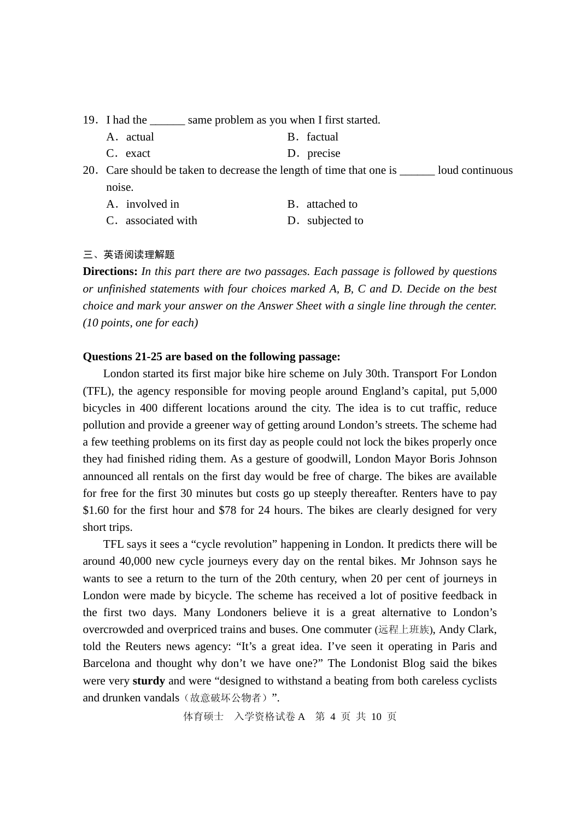- 19.I had the \_\_\_\_\_\_ same problem as you when I first started.
	- A. actual B. factual
	- C. exact D. precise

20. Care should be taken to decrease the length of time that one is loud continuous noise.

- A. involved in B. attached to
- C. associated with D. subjected to

三、英语阅读理解题

**Directions:** *In this part there are two passages. Each passage is followed by questions or unfinished statements with four choices marked A, B, C and D. Decide on the best choice and mark your answer on the Answer Sheet with a single line through the center. (10 points, one for each)*

#### **Questions 21-25 are based on the following passage:**

London started its first major bike hire scheme on July 30th. Transport For London (TFL), the agency responsible for moving people around England's capital, put 5,000 bicycles in 400 different locations around the city. The idea is to cut traffic, reduce pollution and provide a greener way of getting around London's streets. The scheme had a few teething problems on its first day as people could not lock the bikes properly once they had finished riding them. As a gesture of goodwill, London Mayor Boris Johnson announced all rentals on the first day would be free of charge. The bikes are available for free for the first 30 minutes but costs go up steeply thereafter. Renters have to pay \$1.60 for the first hour and \$78 for 24 hours. The bikes are clearly designed for very short trips.

TFL says it sees a "cycle revolution" happening in London. It predicts there will be around 40,000 new cycle journeys every day on the rental bikes. Mr Johnson says he wants to see a return to the turn of the 20th century, when 20 per cent of journeys in London were made by bicycle. The scheme has received a lot of positive feedback in the first two days. Many Londoners believe it is a great alternative to London's overcrowded and overpriced trains and buses. One commuter (远程上班族), Andy Clark, told the Reuters news agency: "It's a great idea. I've seen it operating in Paris and Barcelona and thought why don't we have one?" The Londonist Blog said the bikes were very **sturdy** and were "designed to withstand a beating from both careless cyclists and drunken vandals(故意破坏公物者)".

体育硕士 入学资格试卷 A 第 4 页 共 10 页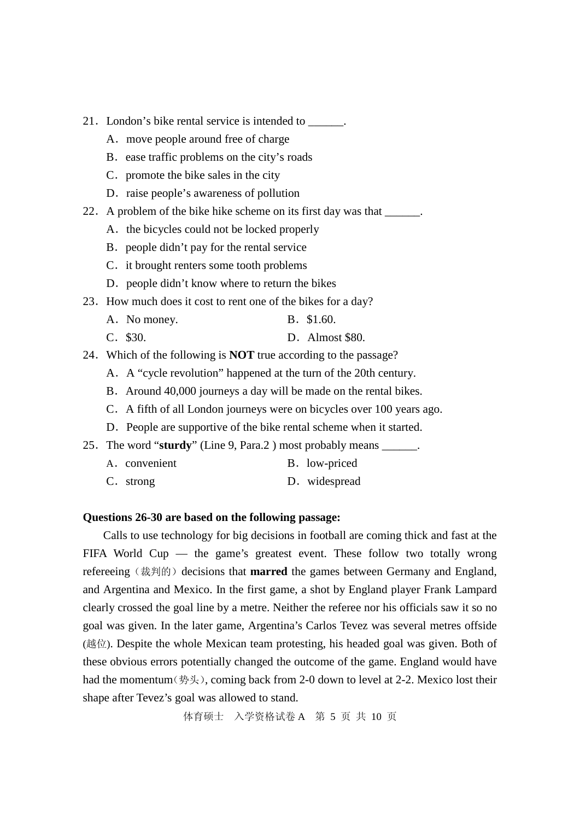- 21. London's bike rental service is intended to \_\_\_\_\_\_.
	- A. move people around free of charge
	- B. ease traffic problems on the city's roads
	- C. promote the bike sales in the city
	- D. raise people's awareness of pollution
- 22. A problem of the bike hike scheme on its first day was that \_\_\_\_\_\_.
	- A. the bicycles could not be locked properly
	- B. people didn't pay for the rental service
	- C. it brought renters some tooth problems
	- D. people didn't know where to return the bikes
- 23. How much does it cost to rent one of the bikes for a day?
	- A. No money. B. \$1.60.
	- C.\$30. D.Almost \$80.
- 24.Which of the following is **NOT** true according to the passage?
	- A.A "cycle revolution" happened at the turn of the 20th century.
	- B. Around 40,000 journeys a day will be made on the rental bikes.
	- C. A fifth of all London journeys were on bicycles over 100 years ago.
	- D. People are supportive of the bike rental scheme when it started.
- 25. The word "**sturdy**" (Line 9, Para.2) most probably means  $\qquad \qquad$ .
	- A. convenient B. low-priced
	- C. strong D. widespread

### **Questions 26-30 are based on the following passage:**

Calls to use technology for big decisions in football are coming thick and fast at the FIFA World Cup — the game's greatest event. These follow two totally wrong refereeing (裁判的) decisions that **marred** the games between Germany and England, and Argentina and Mexico. In the first game, a shot by England player Frank Lampard clearly crossed the goal line by a metre. Neither the referee nor his officials saw it so no goal was given. In the later game, Argentina's Carlos Tevez was several metres offside (越位). Despite the whole Mexican team protesting, his headed goal was given. Both of these obvious errors potentially changed the outcome of the game. England would have had the momentum(势头), coming back from 2-0 down to level at 2-2. Mexico lost their shape after Tevez's goal was allowed to stand.

体育硕士 入学资格试卷 A 第 5 页 共 10 页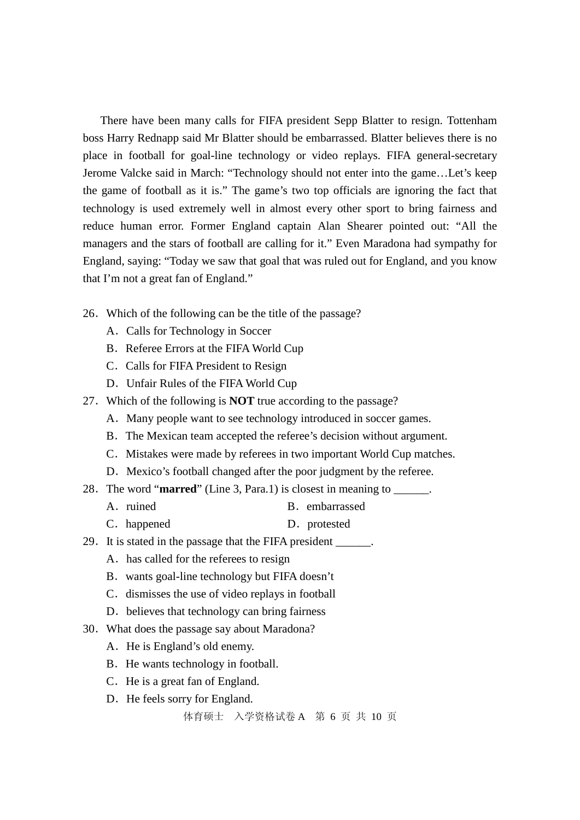There have been many calls for FIFA president Sepp Blatter to resign. Tottenham boss Harry Rednapp said Mr Blatter should be embarrassed. Blatter believes there is no place in football for goal-line technology or video replays. FIFA general-secretary Jerome Valcke said in March: "Technology should not enter into the game…Let's keep the game of football as it is." The game's two top officials are ignoring the fact that technology is used extremely well in almost every other sport to bring fairness and reduce human error. Former England captain Alan Shearer pointed out: "All the managers and the stars of football are calling for it." Even Maradona had sympathy for England, saying: "Today we saw that goal that was ruled out for England, and you know that I'm not a great fan of England."

- 26.Which of the following can be the title of the passage?
	- A.Calls for Technology in Soccer
	- B. Referee Errors at the FIFA World Cup
	- C. Calls for FIFA President to Resign
	- D. Unfair Rules of the FIFA World Cup
- 27.Which of the following is **NOT** true according to the passage?
	- A. Many people want to see technology introduced in soccer games.
	- B.The Mexican team accepted the referee's decision without argument.
	- C. Mistakes were made by referees in two important World Cup matches.
	- D. Mexico's football changed after the poor judgment by the referee.
- 28.The word "**marred**" (Line 3, Para.1) is closest in meaning to \_\_\_\_\_\_.
	- A. ruined B. embarrassed
	- C. happened D. protested
- 29. It is stated in the passage that the FIFA president \_\_\_\_\_\_.
	- A. has called for the referees to resign
	- B.wants goal-line technology but FIFA doesn't
	- C. dismisses the use of video replays in football
	- D. believes that technology can bring fairness
- 30.What does the passage say about Maradona?
	- A. He is England's old enemy.
	- B. He wants technology in football.
	- C.He is a great fan of England.
	- D. He feels sorry for England.

体育硕士 入学资格试卷 A 第 6 页 共 10 页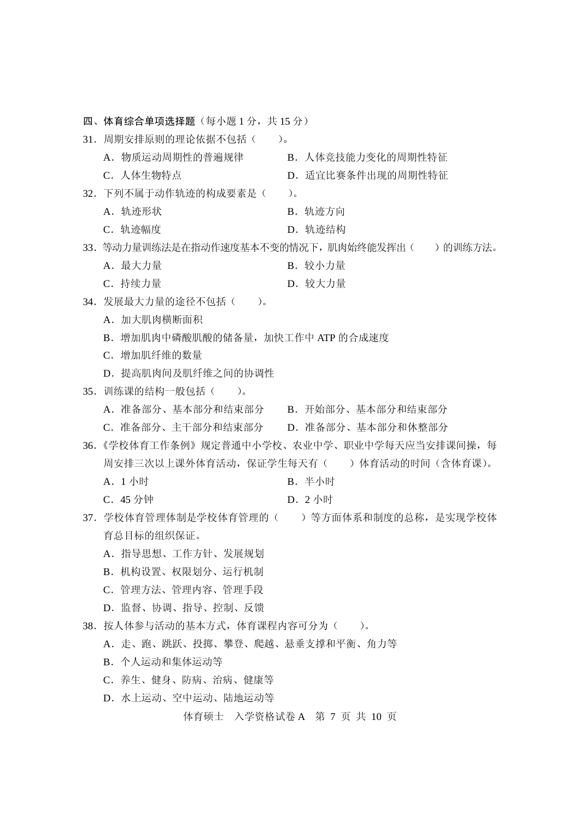体育硕士 入学资格试卷 A 第 7 页 共 10 页 四、体育综合单项选择题(每小题1分,共15分) 31. 周期安排原则的理论依据不包括()。 A.物质运动周期性的普遍规律 B.人体竞技能力变化的周期性特征 C. 人体生物特点 **D. 适宜比赛条件出现的周期性特征** 32.下列不属于动作轨迹的构成要素是( )。 A. 轨迹形状 **B.** D. 轨迹方向 C. 轨迹幅度 **D. 轨迹结构** 33. 等动力量训练法是在指动作速度基本不变的情况下, 肌肉始终能发挥出()的训练方法。 A. 最大力量 **B. 较小力量** C. 持续力量 D. 较大力量 34.发展最大力量的途径不包括( )。 A. 加大肌肉横断面积 B.增加肌肉中磷酸肌酸的储备量,加快工作中 ATP 的合成速度 C.增加肌纤维的数量 D. 提高肌肉间及肌纤维之间的协调性 35.训练课的结构一般包括( )。 A.准备部分、基本部分和结束部分 B.开始部分、基本部分和结束部分 C.准备部分、主干部分和结束部分 D.准备部分、基本部分和休整部分 36.《学校体育工作条例》规定普通中小学校、农业中学、职业中学每天应当安排课间操,每 周安排三次以上课外体育活动, 保证学生每天有() 的体育活动的时间(含体育课)。 A. 1 小时 B. 半小时 C.45 分钟 D.2 小时 37. 学校体育管理校体育管理的()等方面体系和制度的总称,是实现学校体 育总目标的组织保证。 A.指导思想、工作方针、发展规划 B.机构设置、权限划分、运行机制 C.管理方法、管理内容、管理手段 D.监督、协调、指导、控制、反馈 38.按人体参与活动的基本方式,体育课程内容可分为( )。 A.走、跑、跳跃、投掷、攀登、爬越、悬垂支撑和平衡、角力等 B.个人运动和集体运动等 C.养生、健身、防病、治病、健康等 D. 水上运动、空中运动、陆地运动等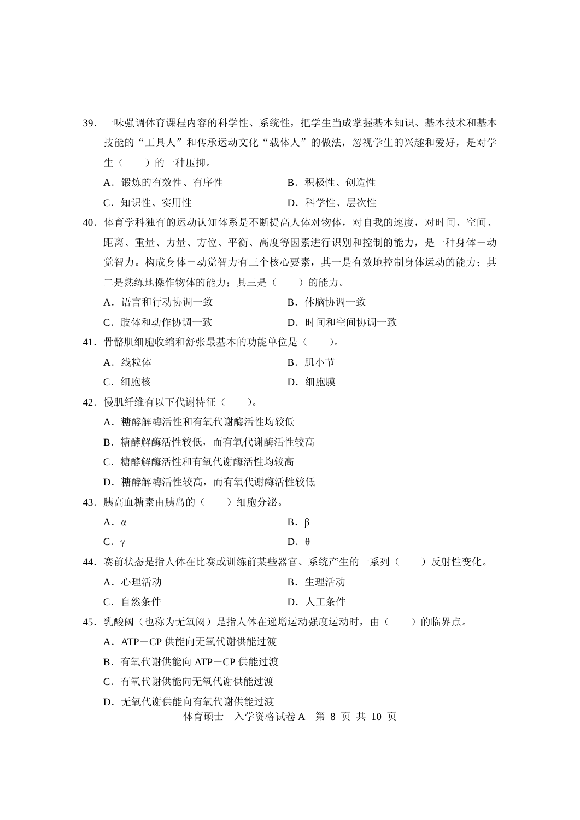体育硕士 入学资格试卷 A 第 8 页 共 10 页 39.一味强调体育课程内容的科学性、系统性,把学生当成掌握基本知识、基本技术和基本 技能的"工具人"和传承运动文化"载体人"的做法,忽视学生的兴趣和爱好,是对学 生()的一种压抑。 A.锻炼的有效性、有序性 B.积极性、创造性 C.知识性、实用性 D.科学性、层次性 40.体育学科独有的运动认知体系是不断提高人体对物体,对自我的速度,对时间、空间、 距离、重量、力量、方位、平衡、高度等因素进行识别和控制的能力,是一种身体-动 觉智力。构成身体一动觉智力有三个核心要素,其一是有效地控制身体运动的能力;其 二是熟练地操作物体的能力;其三是()的能力。 A. 语言和行动协调一致 **B. 体脑协调一致** C.肢体和动作协调一致 D.时间和空间协调一致 41. 骨骼肌细胞收缩和舒张最基本的功能单位是()。 A. 线粒体 **B.** D. 肌小节 C. 细胞核 **D. 细胞膜** 42. 慢肌纤维有以下代谢特征()。 A.糖酵解酶活性和有氧代谢酶活性均较低 B.糖酵解酶活性较低,而有氧代谢酶活性较高 C.糖酵解酶活性和有氧代谢酶活性均较高 D.糖酵解酶活性较高,而有氧代谢酶活性较低 43.胰高血糖素由胰岛的( )细胞分泌。 A.  $\alpha$  B. β C. γ D. θ 44. 赛前状态是指人体在比赛或训练前某些器官、系统产生的一系列()反射性变化。 A. 心理活动 **B. 生理活动** C.自然条件 D.人工条件 45. 乳酸阈(也称为无氧阈)是指人体在递增运动强度运动时,由()的临界点。 A. ATP-CP 供能向无氧代谢供能过渡 B.有氧代谢供能向 ATP-CP 供能过渡 C.有氧代谢供能向无氧代谢供能过渡 D. 无氧代谢供能向有氧代谢供能过渡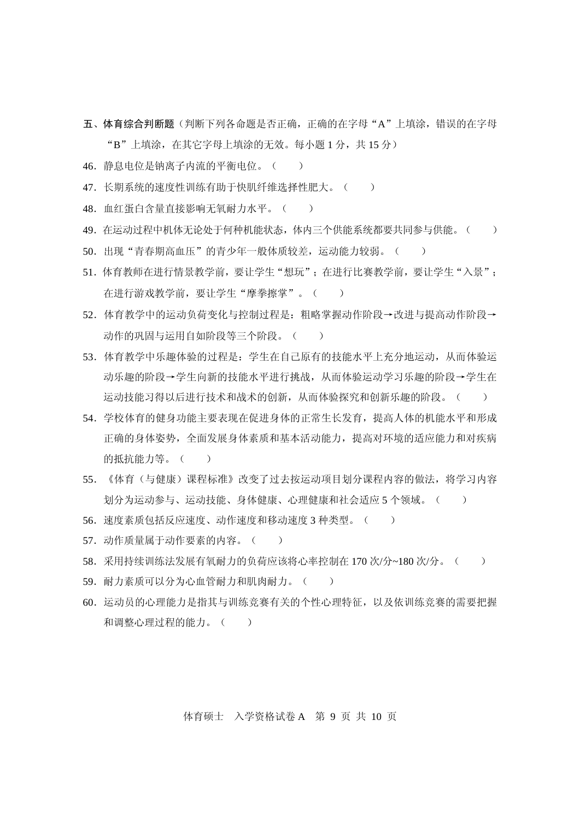五、体育综合判断题(判断下列各命题是否正确,正确的在字母"A"上填涂,错误的在字母

"B"上填涂, 在其它字母上填涂的无效。每小题 1 分, 共 15 分)

- 46.静息电位是钠离子内流的平衡电位。( )
- 47. 长期系统的速度性训练有助于快肌纤维选择性肥大。()
- 48. 血红蛋白含量直接影响无氧耐力水平。()
- 49. 在运动过程中机体无论处于何种机能状态,体内三个供能系统都要共同参与供能。( )
- 50. 出现"青春期高血压"的青少年一般体质较差,运动能力较弱。()
- 51. 体育教师在进行情景教学前,要让学生"想玩";在进行比赛教学前,要让学生"入景"; 在进行游戏教学前,要让学生"摩拳擦掌"。()
- 52.体育教学中的运动负荷变化与控制过程是:粗略掌握动作阶段→改进与提高动作阶段→ 动作的巩固与运用自如阶段等三个阶段。()
- 53.体育教学中乐趣体验的过程是:学生在自己原有的技能水平上充分地运动,从而体验运 动乐趣的阶段→学生向新的技能水平进行挑战,从而体验运动学习乐趣的阶段→学生在 运动技能习得以后进行技术和战术的创新,从而体验探究和创新乐趣的阶段。()
- 54.学校体育的健身功能主要表现在促进身体的正常生长发育,提高人体的机能水平和形成 正确的身体姿势,全面发展身体素质和基本活动能力,提高对环境的适应能力和对疾病 的抵抗能力等。( )
- 55. 《体育(与健康)课程标准》改变了过去按运动项目划分课程内容的做法,将学习内容 划分为运动参与、运动技能、身体健康、心理健康和社会适应 5 个领域。( )
- 56. 速度素质包括反应速度、动作速度和移动速度 3 种类型。( )
- 57. 动作质量属于动作要素的内容。()
- 58. 采用持续训练法发展有氧耐力的负荷应该将心率控制在 170 次/分~180 次/分。()
- 59. 耐力素质可以分为心血管耐力和肌肉耐力。( )
- 60.运动员的心理能力是指其与训练竞赛有关的个性心理特征,以及依训练竞赛的需要把握 和调整心理过程的能力。()

体育硕士 入学资格试卷 A 第 9 页 共 10 页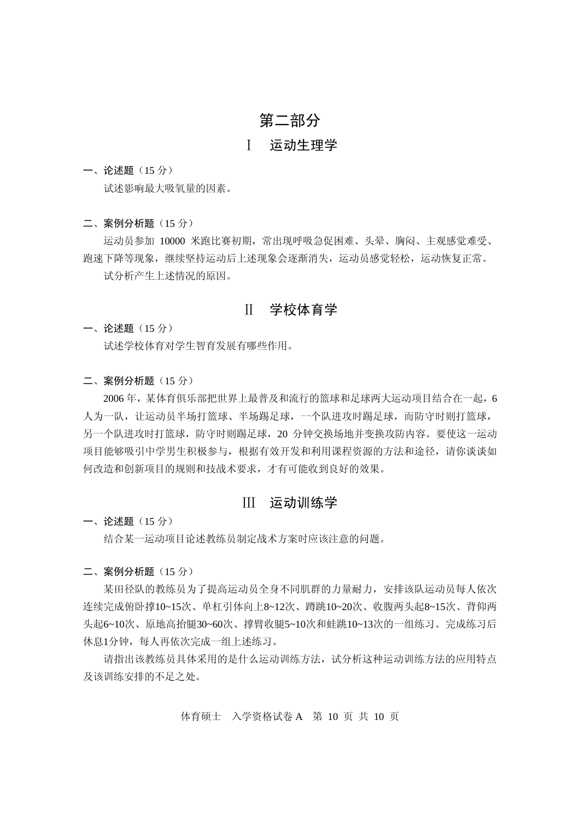### 第二部分

### Ⅰ 运动生理学

一、论述题(15 分)

试述影响最大吸氧量的因素。

二、案例分析题(15分)

运动员参加 10000 米跑比赛初期,常出现呼吸急促困难、头晕、胸闷、主观感觉难受、 跑速下降等现象,继续坚持运动后上述现象会逐渐消失,运动员感觉轻松,运动恢复正常。 试分析产生上述情况的原因。

### Ⅱ 学校体育学

一、论述题(15 分) 试述学校体育对学生智育发展有哪些作用。

二、案例分析题 (15分)

2006 年,某体育俱乐部把世界上最普及和流行的篮球和足球两大运动项目结合在一起,6 人为一队,让运动员半场打篮球、半场踢足球,一个队进攻时踢足球,而防守时则打篮球, 另一个队进攻时打篮球,防守时则踢足球,20 分钟交换场地并变换攻防内容。要使这一运动 项目能够吸引中学男生积极参与,根据有效开发和利用课程资源的方法和途径,请你谈谈如 何改造和创新项目的规则和技战术要求,才有可能收到良好的效果。

### Ⅲ 运动训练学

一、论述题(15 分)

结合某一运动项目论述教练员制定战术方案时应该注意的问题。

二、案例分析题(15 分)

某田径队的教练员为了提高运动员全身不同肌群的力量耐力, 安排该队运动员每人依次 连续完成俯卧撑10~15次、单杠引体向上8~12次、蹲跳10~20次、收腹两头起8~15次、背仰两 头起6~10次、原地高抬腿30~60次、撑臂收腿5~10次和蛙跳10~13次的一组练习。完成练习后 休息1分钟,每人再依次完成一组上述练习。

请指出该教练员具体采用的是什么运动训练方法,试分析这种运动训练方法的应用特点 及该训练安排的不足之处。

体育硕士 入学资格试卷 A 第 10 页 共 10 页